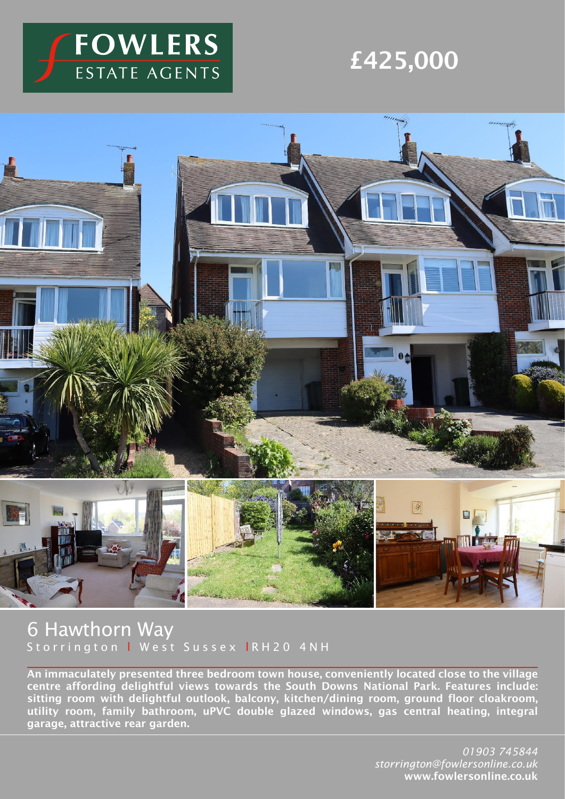

# £425,000



## 6 Hawthorn Way Storrington I West Sussex IRH20 4NH

An immaculately presented three bedroom town house, conveniently located close to the village centre affording delightful views towards the South Downs National Park. Features include: sitting room with delightful outlook, balcony, kitchen/dining room, ground floor cloakroom, utility room, family bathroom, uPVC double glazed windows, gas central heating, integral garage, attractive rear garden.

> *01903 745844 storrington@fowlersonline.co.uk* www.fowlersonline.co.uk